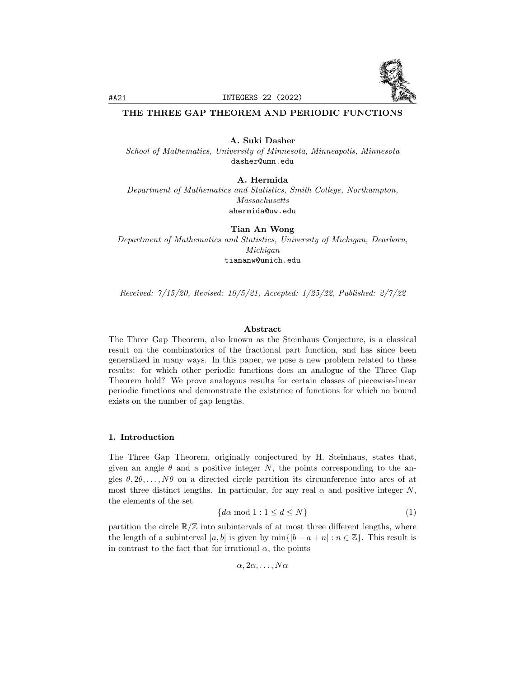

# THE THREE GAP THEOREM AND PERIODIC FUNCTIONS

A. Suki Dasher School of Mathematics, University of Minnesota, Minneapolis, Minnesota dasher@umn.edu

A. Hermida Department of Mathematics and Statistics, Smith College, Northampton, Massachusetts ahermida@uw.edu

Tian An Wong Department of Mathematics and Statistics, University of Michigan, Dearborn, Michigan tiananw@umich.edu

Received: 7/15/20, Revised: 10/5/21, Accepted: 1/25/22, Published: 2/7/22

#### Abstract

The Three Gap Theorem, also known as the Steinhaus Conjecture, is a classical result on the combinatorics of the fractional part function, and has since been generalized in many ways. In this paper, we pose a new problem related to these results: for which other periodic functions does an analogue of the Three Gap Theorem hold? We prove analogous results for certain classes of piecewise-linear periodic functions and demonstrate the existence of functions for which no bound exists on the number of gap lengths.

# 1. Introduction

The Three Gap Theorem, originally conjectured by H. Steinhaus, states that, given an angle  $\theta$  and a positive integer N, the points corresponding to the angles  $\theta$ ,  $2\theta$ , ...,  $N\theta$  on a directed circle partition its circumference into arcs of at most three distinct lengths. In particular, for any real  $\alpha$  and positive integer N, the elements of the set

$$
\{d\alpha \bmod 1 : 1 \le d \le N\}
$$
 (1)

partition the circle  $\mathbb{R}/\mathbb{Z}$  into subintervals of at most three different lengths, where the length of a subinterval  $[a, b]$  is given by  $\min\{|b - a + n| : n \in \mathbb{Z}\}\.$  This result is in contrast to the fact that for irrational  $\alpha$ , the points

 $\alpha, 2\alpha, \ldots, N\alpha$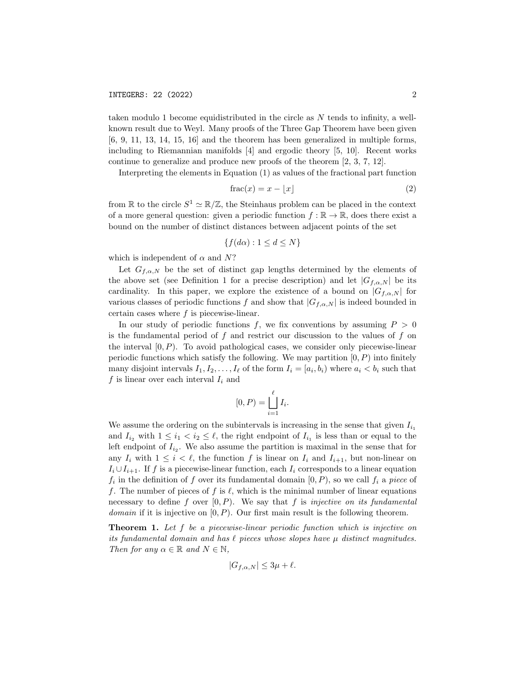taken modulo 1 become equidistributed in the circle as  $N$  tends to infinity, a wellknown result due to Weyl. Many proofs of the Three Gap Theorem have been given [6, 9, 11, 13, 14, 15, 16] and the theorem has been generalized in multiple forms, including to Riemannian manifolds [4] and ergodic theory [5, 10]. Recent works continue to generalize and produce new proofs of the theorem [2, 3, 7, 12].

Interpreting the elements in Equation (1) as values of the fractional part function

$$
frac(x) = x - \lfloor x \rfloor \tag{2}
$$

from  $\mathbb R$  to the circle  $S^1 \simeq \mathbb R/\mathbb Z$ , the Steinhaus problem can be placed in the context of a more general question: given a periodic function  $f : \mathbb{R} \to \mathbb{R}$ , does there exist a bound on the number of distinct distances between adjacent points of the set

$$
\{f(d\alpha) : 1 \le d \le N\}
$$

which is independent of  $\alpha$  and N?

Let  $G_{f,\alpha,N}$  be the set of distinct gap lengths determined by the elements of the above set (see Definition 1 for a precise description) and let  $|G_{f,\alpha,N}|$  be its cardinality. In this paper, we explore the existence of a bound on  $|G_{f,\alpha,N}|$  for various classes of periodic functions f and show that  $|G_{f,\alpha,N}|$  is indeed bounded in certain cases where f is piecewise-linear.

In our study of periodic functions f, we fix conventions by assuming  $P > 0$ is the fundamental period of f and restrict our discussion to the values of f on the interval  $[0, P)$ . To avoid pathological cases, we consider only piecewise-linear periodic functions which satisfy the following. We may partition  $[0, P)$  into finitely many disjoint intervals  $I_1, I_2, \ldots, I_\ell$  of the form  $I_i = [a_i, b_i)$  where  $a_i < b_i$  such that f is linear over each interval  $I_i$  and

$$
[0, P) = \bigsqcup_{i=1}^{\ell} I_i.
$$

We assume the ordering on the subintervals is increasing in the sense that given  $I_{i_1}$ and  $I_{i_2}$  with  $1 \leq i_1 < i_2 \leq \ell$ , the right endpoint of  $I_{i_1}$  is less than or equal to the left endpoint of  $I_{i_2}$ . We also assume the partition is maximal in the sense that for any  $I_i$  with  $1 \leq i \leq \ell$ , the function f is linear on  $I_i$  and  $I_{i+1}$ , but non-linear on  $I_i \cup I_{i+1}$ . If f is a piecewise-linear function, each  $I_i$  corresponds to a linear equation  $f_i$  in the definition of f over its fundamental domain  $[0, P)$ , so we call  $f_i$  a piece of f. The number of pieces of f is  $\ell$ , which is the minimal number of linear equations necessary to define f over  $[0, P)$ . We say that f is *injective on its fundamental domain* if it is injective on  $[0, P)$ . Our first main result is the following theorem.

**Theorem 1.** Let  $f$  be a piecewise-linear periodic function which is injective on its fundamental domain and has  $\ell$  pieces whose slopes have  $\mu$  distinct magnitudes. Then for any  $\alpha \in \mathbb{R}$  and  $N \in \mathbb{N}$ ,

$$
|G_{f,\alpha,N}| \le 3\mu + \ell.
$$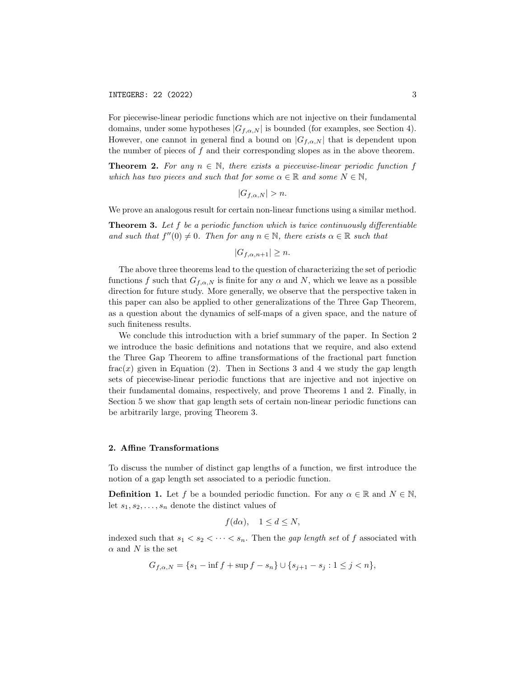For piecewise-linear periodic functions which are not injective on their fundamental domains, under some hypotheses  $|G_{f,\alpha,N}|$  is bounded (for examples, see Section 4). However, one cannot in general find a bound on  $|G_{f,\alpha,N}|$  that is dependent upon the number of pieces of  $f$  and their corresponding slopes as in the above theorem.

**Theorem 2.** For any  $n \in \mathbb{N}$ , there exists a piecewise-linear periodic function f which has two pieces and such that for some  $\alpha \in \mathbb{R}$  and some  $N \in \mathbb{N}$ ,

$$
|G_{f,\alpha,N}|>n.
$$

We prove an analogous result for certain non-linear functions using a similar method.

**Theorem 3.** Let  $f$  be a periodic function which is twice continuously differentiable and such that  $f''(0) \neq 0$ . Then for any  $n \in \mathbb{N}$ , there exists  $\alpha \in \mathbb{R}$  such that

$$
|G_{f,\alpha,n+1}| \ge n.
$$

The above three theorems lead to the question of characterizing the set of periodic functions f such that  $G_{f,\alpha,N}$  is finite for any  $\alpha$  and N, which we leave as a possible direction for future study. More generally, we observe that the perspective taken in this paper can also be applied to other generalizations of the Three Gap Theorem, as a question about the dynamics of self-maps of a given space, and the nature of such finiteness results.

We conclude this introduction with a brief summary of the paper. In Section 2 we introduce the basic definitions and notations that we require, and also extend the Three Gap Theorem to affine transformations of the fractional part function  $frac(x)$  given in Equation (2). Then in Sections 3 and 4 we study the gap length sets of piecewise-linear periodic functions that are injective and not injective on their fundamental domains, respectively, and prove Theorems 1 and 2. Finally, in Section 5 we show that gap length sets of certain non-linear periodic functions can be arbitrarily large, proving Theorem 3.

### 2. Affine Transformations

To discuss the number of distinct gap lengths of a function, we first introduce the notion of a gap length set associated to a periodic function.

**Definition 1.** Let f be a bounded periodic function. For any  $\alpha \in \mathbb{R}$  and  $N \in \mathbb{N}$ , let  $s_1, s_2, \ldots, s_n$  denote the distinct values of

$$
f(d\alpha), \quad 1 \le d \le N,
$$

indexed such that  $s_1 < s_2 < \cdots < s_n$ . Then the *gap length set* of f associated with  $\alpha$  and N is the set

$$
G_{f,\alpha,N} = \{s_1 - \inf f + \sup f - s_n\} \cup \{s_{j+1} - s_j : 1 \le j < n\},\
$$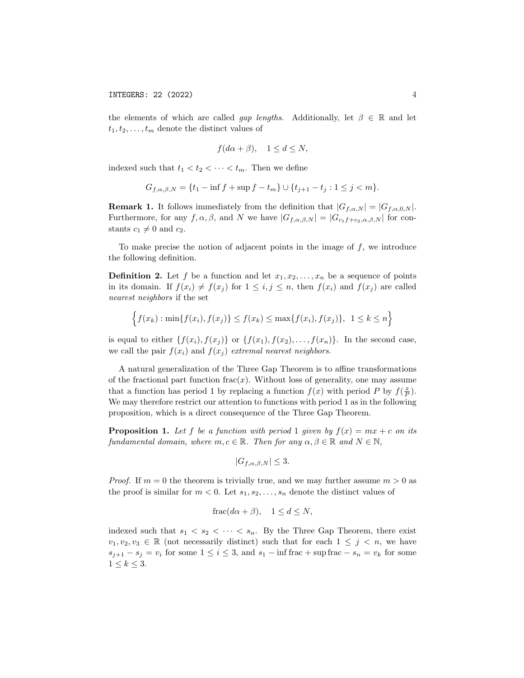the elements of which are called *gap lengths*. Additionally, let  $\beta \in \mathbb{R}$  and let  $t_1, t_2, \ldots, t_m$  denote the distinct values of

$$
f(d\alpha + \beta), \quad 1 \le d \le N,
$$

indexed such that  $t_1 < t_2 < \cdots < t_m$ . Then we define

$$
G_{f,\alpha,\beta,N} = \{t_1 - \inf f + \sup f - t_m\} \cup \{t_{j+1} - t_j : 1 \le j < m\}.
$$

**Remark 1.** It follows immediately from the definition that  $|G_{f,\alpha,N}| = |G_{f,\alpha,0,N}|$ . Furthermore, for any  $f, \alpha, \beta$ , and N we have  $|G_{f,\alpha,\beta,N}| = |G_{c_1f+c_2,\alpha,\beta,N}|$  for constants  $c_1 \neq 0$  and  $c_2$ .

To make precise the notion of adjacent points in the image of  $f$ , we introduce the following definition.

**Definition 2.** Let f be a function and let  $x_1, x_2, \ldots, x_n$  be a sequence of points in its domain. If  $f(x_i) \neq f(x_j)$  for  $1 \leq i, j \leq n$ , then  $f(x_i)$  and  $f(x_j)$  are called nearest neighbors if the set

$$
\left\{ f(x_k) : \min\{ f(x_i), f(x_j) \} \le f(x_k) \le \max\{ f(x_i), f(x_j) \}, \ 1 \le k \le n \right\}
$$

is equal to either  $\{f(x_i), f(x_j)\}\$  or  $\{f(x_1), f(x_2), \ldots, f(x_n)\}\$ . In the second case, we call the pair  $f(x_i)$  and  $f(x_j)$  extremal nearest neighbors.

A natural generalization of the Three Gap Theorem is to affine transformations of the fractional part function  $frac(x)$ . Without loss of generality, one may assume that a function has period 1 by replacing a function  $f(x)$  with period P by  $f(\frac{x}{p})$ . We may therefore restrict our attention to functions with period 1 as in the following proposition, which is a direct consequence of the Three Gap Theorem.

**Proposition 1.** Let f be a function with period 1 given by  $f(x) = mx + c$  on its fundamental domain, where  $m, c \in \mathbb{R}$ . Then for any  $\alpha, \beta \in \mathbb{R}$  and  $N \in \mathbb{N}$ ,

$$
|G_{f,\alpha,\beta,N}| \leq 3.
$$

*Proof.* If  $m = 0$  the theorem is trivially true, and we may further assume  $m > 0$  as the proof is similar for  $m < 0$ . Let  $s_1, s_2, \ldots, s_n$  denote the distinct values of

$$
frac(d\alpha + \beta), \quad 1 \le d \le N,
$$

indexed such that  $s_1 < s_2 < \cdots < s_n$ . By the Three Gap Theorem, there exist  $v_1, v_2, v_3 \in \mathbb{R}$  (not necessarily distinct) such that for each  $1 \leq j \leq n$ , we have  $s_{j+1} - s_j = v_i$  for some  $1 \le i \le 3$ , and  $s_1 - \inf$  frac + sup frac  $-s_n = v_k$  for some  $1 \leq k \leq 3$ .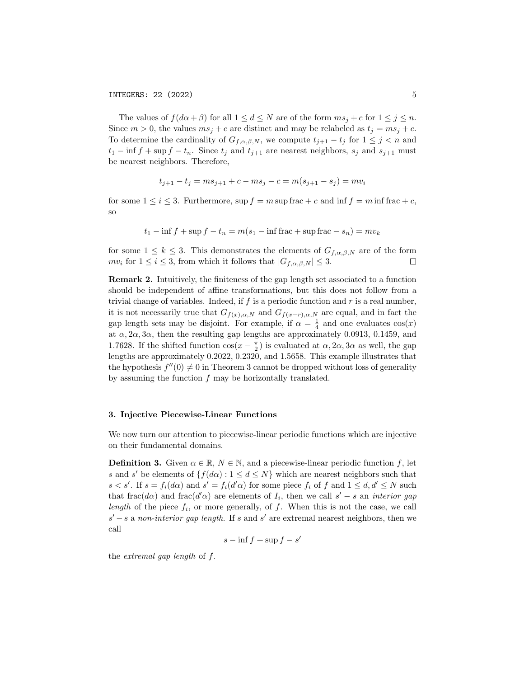The values of  $f(d\alpha + \beta)$  for all  $1 \leq d \leq N$  are of the form  $ms_i + c$  for  $1 \leq j \leq n$ . Since  $m > 0$ , the values  $ms_j + c$  are distinct and may be relabeled as  $t_j = ms_j + c$ . To determine the cardinality of  $G_{f,\alpha,\beta,N}$ , we compute  $t_{j+1} - t_j$  for  $1 \leq j \leq n$  and  $t_1$  – inf f + sup f –  $t_n$ . Since  $t_j$  and  $t_{j+1}$  are nearest neighbors,  $s_j$  and  $s_{j+1}$  must be nearest neighbors. Therefore,

$$
t_{j+1} - t_j = ms_{j+1} + c - ms_j - c = m(s_{j+1} - s_j) = mv_i
$$

for some  $1 \leq i \leq 3$ . Furthermore,  $\sup f = m \sup \text{frac} + c$  and  $\inf f = m \inf \text{frac} + c$ , so

$$
t_1 - \inf f + \sup f - t_n = m(s_1 - \inf \operatorname{frac} + \sup \operatorname{frac} - s_n) = mv_k
$$

for some  $1 \leq k \leq 3$ . This demonstrates the elements of  $G_{f,\alpha,\beta,N}$  are of the form  $mv_i$  for  $1 \leq i \leq 3$ , from which it follows that  $|G_{f,\alpha,\beta,N}| \leq 3$ .  $\Box$ 

Remark 2. Intuitively, the finiteness of the gap length set associated to a function should be independent of affine transformations, but this does not follow from a trivial change of variables. Indeed, if  $f$  is a periodic function and  $r$  is a real number, it is not necessarily true that  $G_{f(x),\alpha,N}$  and  $G_{f(x-r),\alpha,N}$  are equal, and in fact the gap length sets may be disjoint. For example, if  $\alpha = \frac{1}{4}$  and one evaluates  $\cos(x)$ at  $\alpha$ ,  $2\alpha$ ,  $3\alpha$ , then the resulting gap lengths are approximately 0.0913, 0.1459, and 1.7628. If the shifted function  $\cos(x - \frac{\pi}{2})$  is evaluated at  $\alpha, 2\alpha, 3\alpha$  as well, the gap lengths are approximately 0.2022, 0.2320, and 1.5658. This example illustrates that the hypothesis  $f''(0) \neq 0$  in Theorem 3 cannot be dropped without loss of generality by assuming the function  $f$  may be horizontally translated.

#### 3. Injective Piecewise-Linear Functions

We now turn our attention to piecewise-linear periodic functions which are injective on their fundamental domains.

**Definition 3.** Given  $\alpha \in \mathbb{R}$ ,  $N \in \mathbb{N}$ , and a piecewise-linear periodic function f, let s and s' be elements of  $\{f(d\alpha): 1 \leq d \leq N\}$  which are nearest neighbors such that  $s < s'$ . If  $s = f_i(d\alpha)$  and  $s' = f_i(d'\alpha)$  for some piece  $f_i$  of f and  $1 \leq d, d' \leq N$  such that frac $(d\alpha)$  and frac $(d'\alpha)$  are elements of  $I_i$ , then we call  $s'-s$  an *interior gap* length of the piece  $f_i$ , or more generally, of  $f$ . When this is not the case, we call  $s'-s$  a non-interior gap length. If s and s' are extremal nearest neighbors, then we call

$$
s - \inf f + \sup f - s'
$$

the extremal gap length of f.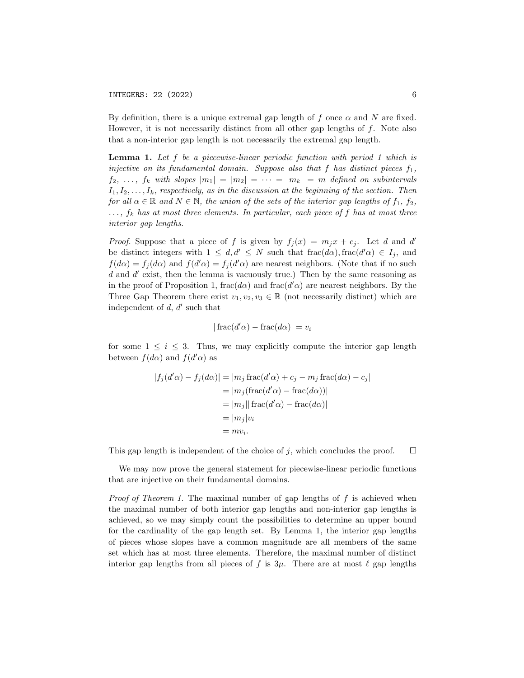By definition, there is a unique extremal gap length of f once  $\alpha$  and N are fixed. However, it is not necessarily distinct from all other gap lengths of  $f$ . Note also that a non-interior gap length is not necessarily the extremal gap length.

**Lemma 1.** Let f be a piecewise-linear periodic function with period 1 which is injective on its fundamental domain. Suppose also that f has distinct pieces  $f_1$ ,  $f_2, \ldots, f_k$  with slopes  $|m_1| = |m_2| = \cdots = |m_k| = m$  defined on subintervals  $I_1, I_2, \ldots, I_k$ , respectively, as in the discussion at the beginning of the section. Then for all  $\alpha \in \mathbb{R}$  and  $N \in \mathbb{N}$ , the union of the sets of the interior gap lengths of  $f_1, f_2$ ,  $\ldots$ ,  $f_k$  has at most three elements. In particular, each piece of f has at most three interior gap lengths.

*Proof.* Suppose that a piece of f is given by  $f_j(x) = m_j x + c_j$ . Let d and d' be distinct integers with  $1 \leq d, d' \leq N$  such that  $\text{frac}(d\alpha)$ ,  $\text{frac}(d' \alpha) \in I_j$ , and  $f(d\alpha) = f_j(d\alpha)$  and  $f(d'\alpha) = f_j(d'\alpha)$  are nearest neighbors. (Note that if no such  $d$  and  $d'$  exist, then the lemma is vacuously true.) Then by the same reasoning as in the proof of Proposition 1,  $frac(d\alpha)$  and  $frac(d'\alpha)$  are nearest neighbors. By the Three Gap Theorem there exist  $v_1, v_2, v_3 \in \mathbb{R}$  (not necessarily distinct) which are independent of  $d, d'$  such that

$$
|\operatorname{frac}(d'\alpha) - \operatorname{frac}(d\alpha)| = v_i
$$

for some  $1 \leq i \leq 3$ . Thus, we may explicitly compute the interior gap length between  $f(d\alpha)$  and  $f(d'\alpha)$  as

$$
|f_j(d'\alpha) - f_j(d\alpha)| = |m_j \operatorname{frac}(d'\alpha) + c_j - m_j \operatorname{frac}(d\alpha) - c_j|
$$
  

$$
= |m_j(\operatorname{frac}(d'\alpha) - \operatorname{frac}(d\alpha))|
$$
  

$$
= |m_j| |\operatorname{frac}(d'\alpha) - \operatorname{frac}(d\alpha)|
$$
  

$$
= |m_j|v_i
$$
  

$$
= mv_i.
$$

This gap length is independent of the choice of  $j$ , which concludes the proof.  $\Box$ 

We may now prove the general statement for piecewise-linear periodic functions that are injective on their fundamental domains.

*Proof of Theorem 1.* The maximal number of gap lengths of  $f$  is achieved when the maximal number of both interior gap lengths and non-interior gap lengths is achieved, so we may simply count the possibilities to determine an upper bound for the cardinality of the gap length set. By Lemma 1, the interior gap lengths of pieces whose slopes have a common magnitude are all members of the same set which has at most three elements. Therefore, the maximal number of distinct interior gap lengths from all pieces of f is  $3\mu$ . There are at most  $\ell$  gap lengths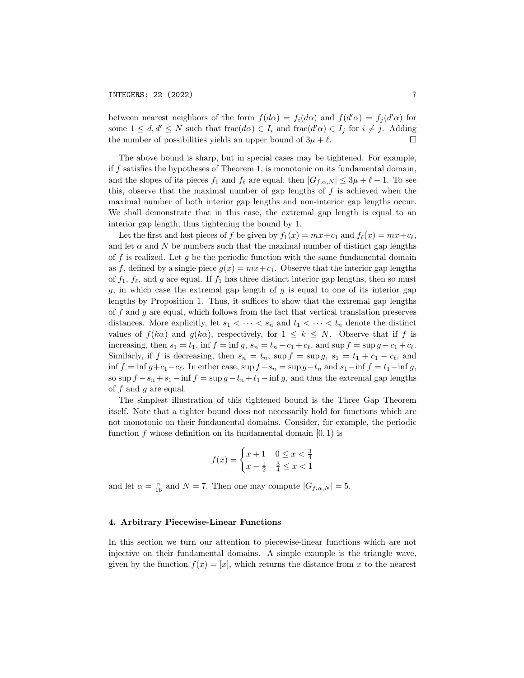between nearest neighbors of the form  $f(d\alpha) = f_i(d\alpha)$  and  $f(d'\alpha) = f_j(d'\alpha)$  for some  $1 \leq d, d' \leq N$  such that  $\text{frac}(d\alpha) \in I_i$  and  $\text{frac}(d'\alpha) \in I_j$  for  $i \neq j$ . Adding the number of possibilities yields an upper bound of  $3\mu + \ell$ .  $\Box$ 

The above bound is sharp, but in special cases may be tightened. For example, if  $f$  satisfies the hypotheses of Theorem 1, is monotonic on its fundamental domain, and the slopes of its pieces  $f_1$  and  $f_\ell$  are equal, then  $|G_{f,\alpha,N}| \leq 3\mu + \ell - 1$ . To see this, observe that the maximal number of gap lengths of  $f$  is achieved when the maximal number of both interior gap lengths and non-interior gap lengths occur. We shall demonstrate that in this case, the extremal gap length is equal to an interior gap length, thus tightening the bound by 1.

Let the first and last pieces of f be given by  $f_1(x) = mx + c_1$  and  $f_{\ell}(x) = mx + c_{\ell}$ , and let  $\alpha$  and N be numbers such that the maximal number of distinct gap lengths of f is realized. Let q be the periodic function with the same fundamental domain as f, defined by a single piece  $g(x) = mx + c_1$ . Observe that the interior gap lengths of  $f_1, f_\ell$ , and g are equal. If  $f_1$  has three distinct interior gap lengths, then so must  $g$ , in which case the extremal gap length of  $g$  is equal to one of its interior gap lengths by Proposition 1. Thus, it suffices to show that the extremal gap lengths of  $f$  and  $g$  are equal, which follows from the fact that vertical translation preserves distances. More explicitly, let  $s_1 < \cdots < s_n$  and  $t_1 < \cdots < t_n$  denote the distinct values of  $f(k\alpha)$  and  $g(k\alpha)$ , respectively, for  $1 \leq k \leq N$ . Observe that if f is increasing, then  $s_1 = t_1$ , inf  $f = \inf g$ ,  $s_n = t_n - c_1 + c_\ell$ , and  $\sup f = \sup g - c_1 + c_\ell$ . Similarly, if f is decreasing, then  $s_n = t_n$ , sup  $f = \sup g$ ,  $s_1 = t_1 + c_1 - c_\ell$ , and inf  $f = inf g + c_1 - c_\ell$ . In either case, sup  $f - s_n = \sup g - t_n$  and  $s_1 - inf f = t_1 - inf g$ , so sup  $f - s_n + s_1 - \inf f = \sup g - t_n + t_1 - \inf g$ , and thus the extremal gap lengths of  $f$  and  $g$  are equal.

The simplest illustration of this tightened bound is the Three Gap Theorem itself. Note that a tighter bound does not necessarily hold for functions which are not monotonic on their fundamental domains. Consider, for example, the periodic function f whose definition on its fundamental domain  $[0, 1)$  is

$$
f(x) = \begin{cases} x+1 & 0 \le x < \frac{3}{4} \\ x-\frac{1}{2} & \frac{3}{4} \le x < 1 \end{cases}
$$

and let  $\alpha = \frac{\pi}{16}$  and  $N = 7$ . Then one may compute  $|G_{f,\alpha,N}| = 5$ .

# 4. Arbitrary Piecewise-Linear Functions

In this section we turn our attention to piecewise-linear functions which are not injective on their fundamental domains. A simple example is the triangle wave, given by the function  $f(x) = [x]$ , which returns the distance from x to the nearest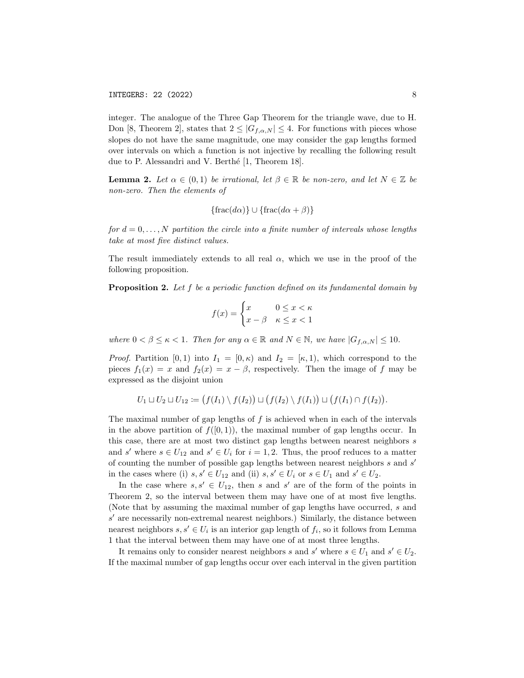integer. The analogue of the Three Gap Theorem for the triangle wave, due to H. Don [8, Theorem 2], states that  $2 \leq |G_{f,\alpha,N}| \leq 4$ . For functions with pieces whose slopes do not have the same magnitude, one may consider the gap lengths formed over intervals on which a function is not injective by recalling the following result due to P. Alessandri and V. Berthé [1, Theorem 18].

**Lemma 2.** Let  $\alpha \in (0,1)$  be irrational, let  $\beta \in \mathbb{R}$  be non-zero, and let  $N \in \mathbb{Z}$  be non-zero. Then the elements of

$$
\{\operatorname{frac}(d\alpha)\}\cup\{\operatorname{frac}(d\alpha+\beta)\}\
$$

for  $d = 0, \ldots, N$  partition the circle into a finite number of intervals whose lengths take at most five distinct values.

The result immediately extends to all real  $\alpha$ , which we use in the proof of the following proposition.

**Proposition 2.** Let f be a periodic function defined on its fundamental domain by

$$
f(x) = \begin{cases} x & 0 \le x < \kappa \\ x - \beta & \kappa \le x < 1 \end{cases}
$$

where  $0 < \beta \leq \kappa < 1$ . Then for any  $\alpha \in \mathbb{R}$  and  $N \in \mathbb{N}$ , we have  $|G_{f,\alpha,N}| \leq 10$ .

*Proof.* Partition [0, 1) into  $I_1 = [0, \kappa)$  and  $I_2 = [\kappa, 1)$ , which correspond to the pieces  $f_1(x) = x$  and  $f_2(x) = x - \beta$ , respectively. Then the image of f may be expressed as the disjoint union

$$
U_1 \sqcup U_2 \sqcup U_{12} \coloneqq \bigl(f(I_1) \setminus f(I_2)\bigr) \sqcup \bigl(f(I_2) \setminus f(I_1)\bigr) \sqcup \bigl(f(I_1) \cap f(I_2)\bigr).
$$

The maximal number of gap lengths of  $f$  is achieved when in each of the intervals in the above partition of  $f([0, 1))$ , the maximal number of gap lengths occur. In this case, there are at most two distinct gap lengths between nearest neighbors s and s' where  $s \in U_{12}$  and  $s' \in U_i$  for  $i = 1, 2$ . Thus, the proof reduces to a matter of counting the number of possible gap lengths between nearest neighbors  $s$  and  $s'$ in the cases where (i)  $s, s' \in U_{12}$  and (ii)  $s, s' \in U_i$  or  $s \in U_1$  and  $s' \in U_2$ .

In the case where  $s, s' \in U_{12}$ , then s and s' are of the form of the points in Theorem 2, so the interval between them may have one of at most five lengths. (Note that by assuming the maximal number of gap lengths have occurred, s and  $s'$  are necessarily non-extremal nearest neighbors.) Similarly, the distance between nearest neighbors  $s, s' \in U_i$  is an interior gap length of  $f_i$ , so it follows from Lemma 1 that the interval between them may have one of at most three lengths.

It remains only to consider nearest neighbors s and s' where  $s \in U_1$  and  $s' \in U_2$ . If the maximal number of gap lengths occur over each interval in the given partition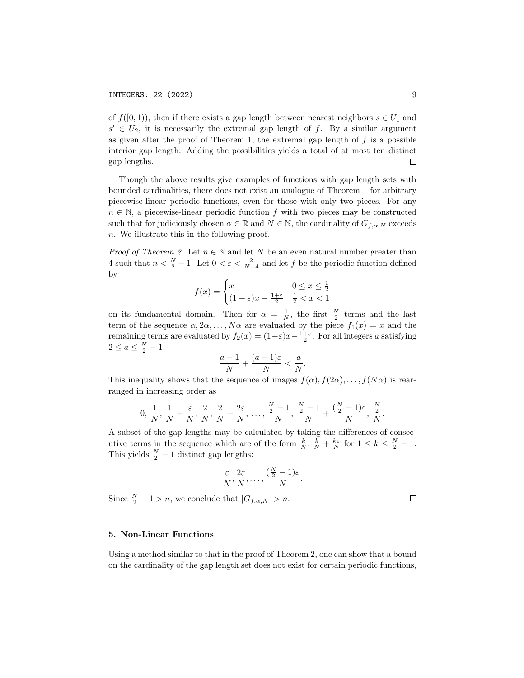of  $f([0,1))$ , then if there exists a gap length between nearest neighbors  $s \in U_1$  and  $s' \in U_2$ , it is necessarily the extremal gap length of f. By a similar argument as given after the proof of Theorem 1, the extremal gap length of  $f$  is a possible interior gap length. Adding the possibilities yields a total of at most ten distinct  $\Box$ gap lengths.

Though the above results give examples of functions with gap length sets with bounded cardinalities, there does not exist an analogue of Theorem 1 for arbitrary piecewise-linear periodic functions, even for those with only two pieces. For any  $n \in \mathbb{N}$ , a piecewise-linear periodic function f with two pieces may be constructed such that for judiciously chosen  $\alpha \in \mathbb{R}$  and  $N \in \mathbb{N}$ , the cardinality of  $G_{f,\alpha,N}$  exceeds n. We illustrate this in the following proof.

*Proof of Theorem 2.* Let  $n \in \mathbb{N}$  and let N be an even natural number greater than 4 such that  $n < \frac{N}{2} - 1$ . Let  $0 < \varepsilon < \frac{2}{N-4}$  and let f be the periodic function defined by

$$
f(x) = \begin{cases} x & 0 \le x \le \frac{1}{2} \\ (1+\varepsilon)x - \frac{1+\varepsilon}{2} & \frac{1}{2} < x < 1 \end{cases}
$$

on its fundamental domain. Then for  $\alpha = \frac{1}{N}$ , the first  $\frac{N}{2}$  terms and the last term of the sequence  $\alpha, 2\alpha, ..., N\alpha$  are evaluated by the piece  $f_1(x) = x$  and the remaining terms are evaluated by  $f_2(x) = (1+\varepsilon)x - \frac{1+\varepsilon}{2}$ . For all integers a satisfying  $2 \le a \le \frac{N}{2} - 1,$ 

$$
\frac{a-1}{N} + \frac{(a-1)\varepsilon}{N} < \frac{a}{N}.
$$

This inequality shows that the sequence of images  $f(\alpha)$ ,  $f(2\alpha)$ , ...,  $f(N\alpha)$  is rearranged in increasing order as

$$
0, \frac{1}{N}, \frac{1}{N} + \frac{\varepsilon}{N}, \frac{2}{N}, \frac{2}{N} + \frac{2\varepsilon}{N}, \dots, \frac{\frac{N}{2} - 1}{N}, \frac{\frac{N}{2} - 1}{N} + \frac{(\frac{N}{2} - 1)\varepsilon}{N}, \frac{\frac{N}{2}}{\frac{2}{N}}.
$$

A subset of the gap lengths may be calculated by taking the differences of consecutive terms in the sequence which are of the form  $\frac{k}{N}$ ,  $\frac{k}{N} + \frac{k\varepsilon}{N}$  for  $1 \leq k \leq \frac{N}{2} - 1$ . This yields  $\frac{N}{2} - 1$  distinct gap lengths:

$$
\frac{\varepsilon}{N}, \frac{2\varepsilon}{N}, \dots, \frac{\left(\frac{N}{2} - 1\right)\varepsilon}{N}.
$$

Since  $\frac{N}{2} - 1 > n$ , we conclude that  $|G_{f,\alpha,N}| > n$ .

# 5. Non-Linear Functions

Using a method similar to that in the proof of Theorem 2, one can show that a bound on the cardinality of the gap length set does not exist for certain periodic functions,

 $\Box$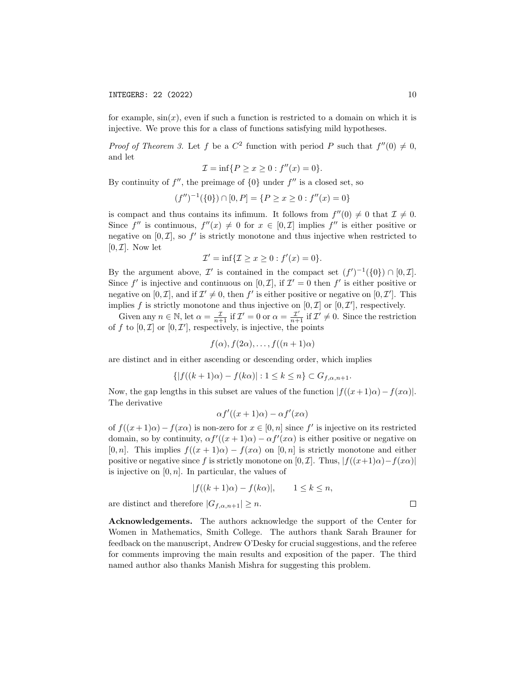for example,  $sin(x)$ , even if such a function is restricted to a domain on which it is injective. We prove this for a class of functions satisfying mild hypotheses.

*Proof of Theorem 3.* Let f be a  $C^2$  function with period P such that  $f''(0) \neq 0$ , and let

$$
\mathcal{I} = \inf\{P \ge x \ge 0 : f''(x) = 0\}.
$$

By continuity of  $f''$ , the preimage of  $\{0\}$  under  $f''$  is a closed set, so

$$
(f'')^{-1}(\{0\}) \cap [0, P] = \{P \ge x \ge 0 : f''(x) = 0\}
$$

is compact and thus contains its infimum. It follows from  $f''(0) \neq 0$  that  $\mathcal{I} \neq 0$ . Since  $f''$  is continuous,  $f''(x) \neq 0$  for  $x \in [0, \mathcal{I}]$  implies  $f''$  is either positive or negative on  $[0, \mathcal{I}]$ , so  $f'$  is strictly monotone and thus injective when restricted to  $[0, \mathcal{I}]$ . Now let

$$
\mathcal{I}' = \inf \{ \mathcal{I} \ge x \ge 0 : f'(x) = 0 \}.
$$

By the argument above,  $\mathcal{I}'$  is contained in the compact set  $(f')^{-1}(\{0\}) \cap [0,\mathcal{I}]$ . Since f' is injective and continuous on  $[0, \mathcal{I}]$ , if  $\mathcal{I}' = 0$  then f' is either positive or negative on  $[0, \mathcal{I}]$ , and if  $\mathcal{I}' \neq 0$ , then f' is either positive or negative on  $[0, \mathcal{I}']$ . This implies f is strictly monotone and thus injective on  $[0, \mathcal{I}]$  or  $[0, \mathcal{I}']$ , respectively.

Given any  $n \in \mathbb{N}$ , let  $\alpha = \frac{\mathcal{I}}{n+1}$  if  $\mathcal{I}' = 0$  or  $\alpha = \frac{\mathcal{I}'}{n+1}$  if  $\mathcal{I}' \neq 0$ . Since the restriction of f to  $[0, \mathcal{I}]$  or  $[0, \mathcal{I}']$ , respectively, is injective, the points

$$
f(\alpha), f(2\alpha), \ldots, f((n+1)\alpha)
$$

are distinct and in either ascending or descending order, which implies

$$
\{|f((k+1)\alpha) - f(k\alpha)| : 1 \le k \le n\} \subset G_{f,\alpha,n+1}.
$$

Now, the gap lengths in this subset are values of the function  $|f((x+1)\alpha)-f(x\alpha)|$ . The derivative

$$
\alpha f'((x+1)\alpha) - \alpha f'(x\alpha)
$$

of  $f((x+1)\alpha) - f(x\alpha)$  is non-zero for  $x \in [0,n]$  since f' is injective on its restricted domain, so by continuity,  $\alpha f'((x+1)\alpha) - \alpha f'(x\alpha)$  is either positive or negative on [0, n]. This implies  $f((x+1)\alpha) - f(x\alpha)$  on [0, n] is strictly monotone and either positive or negative since f is strictly monotone on [0, I]. Thus,  $|f((x+1)\alpha)-f(x\alpha)|$ is injective on  $[0, n]$ . In particular, the values of

$$
|f((k+1)\alpha) - f(k\alpha)|, \qquad 1 \le k \le n,
$$

are distinct and therefore  $|G_{f,\alpha,n+1}| \geq n$ .

Acknowledgements. The authors acknowledge the support of the Center for Women in Mathematics, Smith College. The authors thank Sarah Brauner for feedback on the manuscript, Andrew O'Desky for crucial suggestions, and the referee for comments improving the main results and exposition of the paper. The third named author also thanks Manish Mishra for suggesting this problem.

 $\Box$